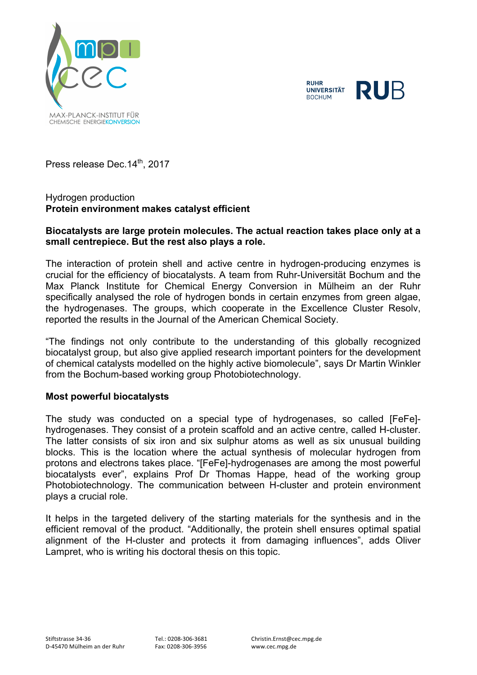

**RUHR** RUB **UNIVERSITÄT BOCHUM** 

Press release Dec. 14<sup>th</sup>, 2017

### Hydrogen production **Protein environment makes catalyst efficient**

#### **Biocatalysts are large protein molecules. The actual reaction takes place only at a small centrepiece. But the rest also plays a role.**

The interaction of protein shell and active centre in hydrogen-producing enzymes is crucial for the efficiency of biocatalysts. A team from Ruhr-Universität Bochum and the Max Planck Institute for Chemical Energy Conversion in Mülheim an der Ruhr specifically analysed the role of hydrogen bonds in certain enzymes from green algae, the hydrogenases. The groups, which cooperate in the Excellence Cluster Resolv, reported the results in the Journal of the American Chemical Society.

"The findings not only contribute to the understanding of this globally recognized biocatalyst group, but also give applied research important pointers for the development of chemical catalysts modelled on the highly active biomolecule", says Dr Martin Winkler from the Bochum-based working group Photobiotechnology.

#### **Most powerful biocatalysts**

The study was conducted on a special type of hydrogenases, so called [FeFe] hydrogenases. They consist of a protein scaffold and an active centre, called H-cluster. The latter consists of six iron and six sulphur atoms as well as six unusual building blocks. This is the location where the actual synthesis of molecular hydrogen from protons and electrons takes place. "[FeFe]-hydrogenases are among the most powerful biocatalysts ever", explains Prof Dr Thomas Happe, head of the working group Photobiotechnology. The communication between H-cluster and protein environment plays a crucial role.

It helps in the targeted delivery of the starting materials for the synthesis and in the efficient removal of the product. "Additionally, the protein shell ensures optimal spatial alignment of the H-cluster and protects it from damaging influences", adds Oliver Lampret, who is writing his doctoral thesis on this topic.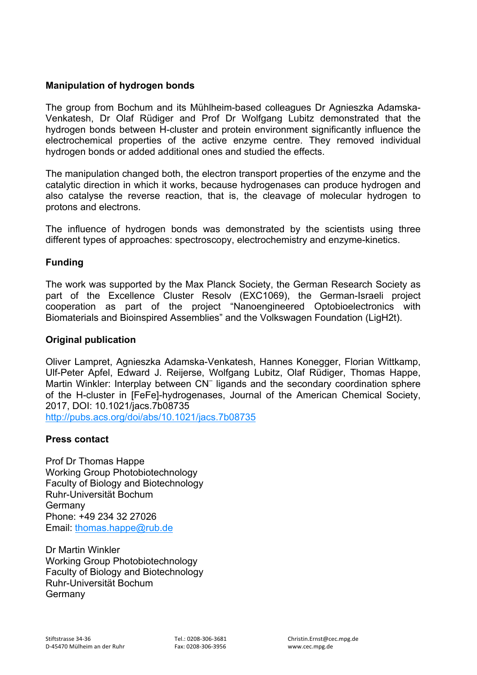## **Manipulation of hydrogen bonds**

The group from Bochum and its Mühlheim-based colleagues Dr Agnieszka Adamska-Venkatesh, Dr Olaf Rüdiger and Prof Dr Wolfgang Lubitz demonstrated that the hydrogen bonds between H-cluster and protein environment significantly influence the electrochemical properties of the active enzyme centre. They removed individual hydrogen bonds or added additional ones and studied the effects.

The manipulation changed both, the electron transport properties of the enzyme and the catalytic direction in which it works, because hydrogenases can produce hydrogen and also catalyse the reverse reaction, that is, the cleavage of molecular hydrogen to protons and electrons.

The influence of hydrogen bonds was demonstrated by the scientists using three different types of approaches: spectroscopy, electrochemistry and enzyme-kinetics.

## **Funding**

The work was supported by the Max Planck Society, the German Research Society as part of the Excellence Cluster Resolv (EXC1069), the German-Israeli project cooperation as part of the project "Nanoengineered Optobioelectronics with Biomaterials and Bioinspired Assemblies" and the Volkswagen Foundation (LigH2t).

#### **Original publication**

Oliver Lampret, Agnieszka Adamska-Venkatesh, Hannes Konegger, Florian Wittkamp, Ulf-Peter Apfel, Edward J. Reijerse, Wolfgang Lubitz, Olaf Rüdiger, Thomas Happe, Martin Winkler: Interplay between CN<sup>-</sup> ligands and the secondary coordination sphere of the H-cluster in [FeFe]-hydrogenases, Journal of the American Chemical Society, 2017, DOI: 10.1021/jacs.7b08735

http://pubs.acs.org/doi/abs/10.1021/jacs.7b08735

# **Press contact**

Prof Dr Thomas Happe Working Group Photobiotechnology Faculty of Biology and Biotechnology Ruhr-Universität Bochum Germany Phone: +49 234 32 27026 Email: thomas.happe@rub.de

Dr Martin Winkler Working Group Photobiotechnology Faculty of Biology and Biotechnology Ruhr-Universität Bochum Germany